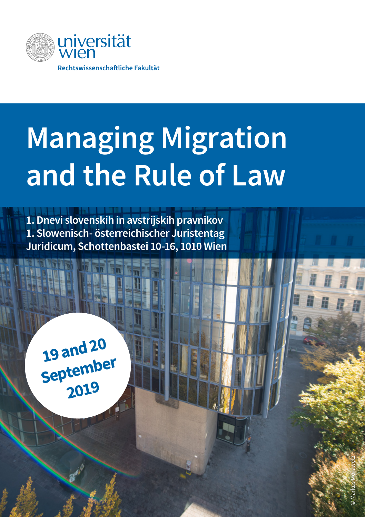

# **Managing Migration and the Rule of Law**

**1. Dnevi slovenskih in avstrijskih pravnikov 1. Slowenisch- österreichischer Juristentag Juridicum, Schottenbastei 10-16, 1010 Wien**

**19 and 20 September 2019**

© Markus Morawetz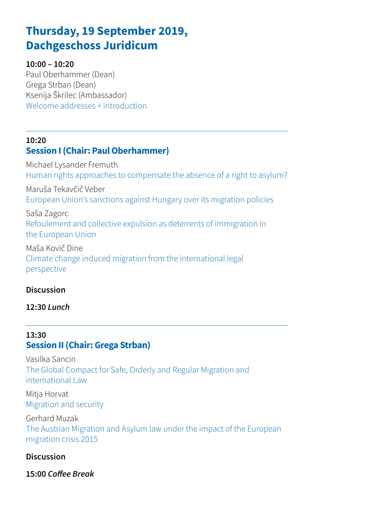# **Thursday, 19 September 2019, Dachgeschoss Juridicum**

#### **10:00 – 10:20**

Paul Oberhammer (Dean) Grega Strban (Dean) Ksenija Škrilec (Ambassador) Welcome addresses + introduction

## **10:20 Session I (Chair: Paul Oberhammer)**

Michael Lysander Fremuth Human rights approaches to compensate the absence of a right to asylum?

Maruša Tekavčič Veber European Union's sanctions against Hungary over its migration policies

Saša Zagorc Refoulement and collective expulsion as deterrents of immigration in the European Union

Maša Kovič Dine Climate change induced migration from the international legal perspective

#### **Discussion**

**12:30** *Lunch*

#### **13:30 Session II (Chair: Grega Strban)**

Vasilka Sancin The Global Compact for Safe, Orderly and Regular Migration and international Law

Mitja Horvat Migration and security

Gerhard Muzak The Austrian Migration and Asylum law under the impact of the European migration crisis 2015

#### **Discussion**

**15:00** *Coffee Break*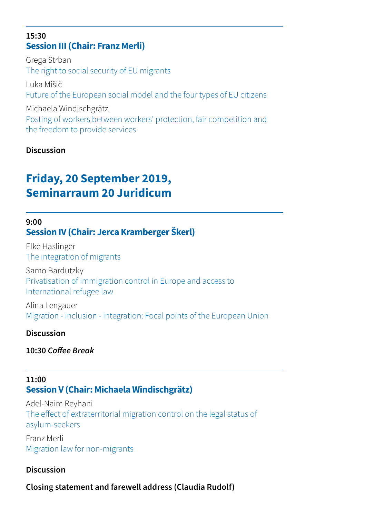#### **15:30 Session III (Chair: Franz Merli)**

Grega Strban The right to social security of EU migrants Luka Mišič Future of the European social model and the four types of EU citizens Michaela Windischgrätz Posting of workers between workers' protection, fair competition and the freedom to provide services

#### **Discussion**

# **Friday, 20 September 2019, Seminarraum 20 Juridicum**

#### **9:00 Session IV (Chair: Jerca Kramberger Škerl)**

Elke Haslinger The integration of migrants

Samo Bardutzky Privatisation of immigration control in Europe and access to International refugee law

Alina Lengauer Migration - inclusion - integration: Focal points of the European Union

#### **Discussion**

**10:30** *Coffee Break*

#### **11:00 Session V (Chair: Michaela Windischgrätz)**

Adel-Naim Reyhani The effect of extraterritorial migration control on the legal status of asylum-seekers

Franz Merli Migration law for non-migrants

#### **Discussion**

**Closing statement and farewell address (Claudia Rudolf)**